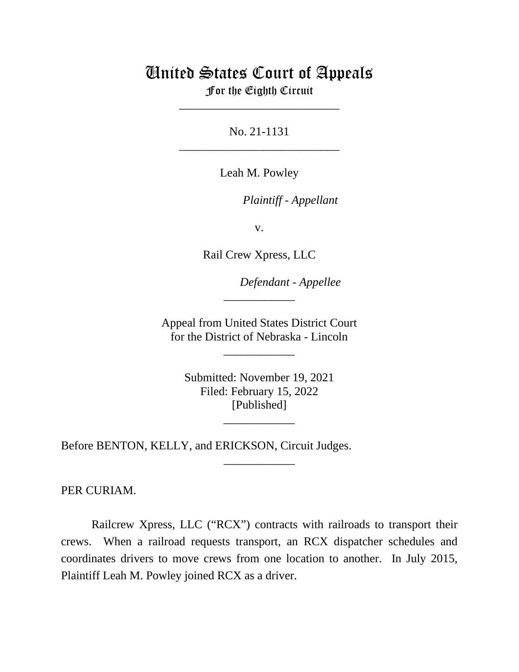## United States Court of Appeals

For the Eighth Circuit \_\_\_\_\_\_\_\_\_\_\_\_\_\_\_\_\_\_\_\_\_\_\_\_\_\_\_

No. 21-1131 \_\_\_\_\_\_\_\_\_\_\_\_\_\_\_\_\_\_\_\_\_\_\_\_\_\_\_

Leah M. Powley

*Plaintiff - Appellant*

v.

Rail Crew Xpress, LLC

*Defendant - Appellee*

Appeal from United States District Court for the District of Nebraska - Lincoln

\_\_\_\_\_\_\_\_\_\_\_\_

\_\_\_\_\_\_\_\_\_\_\_\_

Submitted: November 19, 2021 Filed: February 15, 2022 [Published]

\_\_\_\_\_\_\_\_\_\_\_\_

\_\_\_\_\_\_\_\_\_\_\_\_

Before BENTON, KELLY, and ERICKSON, Circuit Judges.

PER CURIAM.

Railcrew Xpress, LLC ("RCX") contracts with railroads to transport their crews. When a railroad requests transport, an RCX dispatcher schedules and coordinates drivers to move crews from one location to another. In July 2015, Plaintiff Leah M. Powley joined RCX as a driver.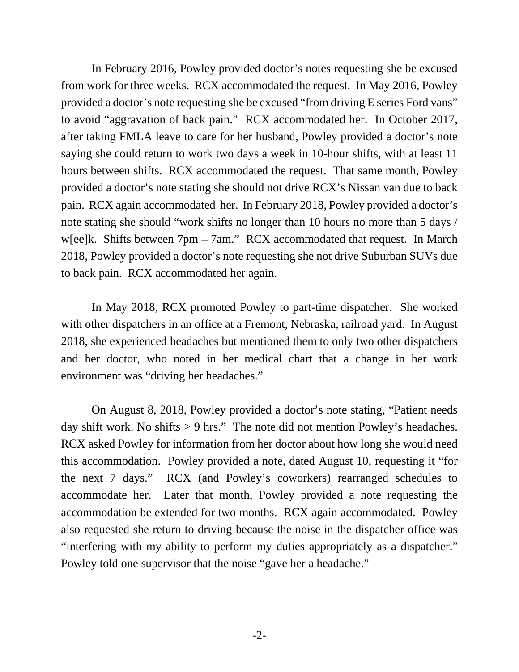In February 2016, Powley provided doctor's notes requesting she be excused from work for three weeks. RCX accommodated the request. In May 2016, Powley provided a doctor's note requesting she be excused "from driving E series Ford vans" to avoid "aggravation of back pain." RCX accommodated her. In October 2017, after taking FMLA leave to care for her husband, Powley provided a doctor's note saying she could return to work two days a week in 10-hour shifts, with at least 11 hours between shifts. RCX accommodated the request. That same month, Powley provided a doctor's note stating she should not drive RCX's Nissan van due to back pain. RCX again accommodated her. In February 2018, Powley provided a doctor's note stating she should "work shifts no longer than 10 hours no more than 5 days / w[ee]k. Shifts between 7pm – 7am." RCX accommodated that request. In March 2018, Powley provided a doctor's note requesting she not drive Suburban SUVs due to back pain. RCX accommodated her again.

In May 2018, RCX promoted Powley to part-time dispatcher. She worked with other dispatchers in an office at a Fremont, Nebraska, railroad yard. In August 2018, she experienced headaches but mentioned them to only two other dispatchers and her doctor, who noted in her medical chart that a change in her work environment was "driving her headaches."

On August 8, 2018, Powley provided a doctor's note stating, "Patient needs day shift work. No shifts > 9 hrs." The note did not mention Powley's headaches. RCX asked Powley for information from her doctor about how long she would need this accommodation. Powley provided a note, dated August 10, requesting it "for the next 7 days." RCX (and Powley's coworkers) rearranged schedules to accommodate her. Later that month, Powley provided a note requesting the accommodation be extended for two months. RCX again accommodated. Powley also requested she return to driving because the noise in the dispatcher office was "interfering with my ability to perform my duties appropriately as a dispatcher." Powley told one supervisor that the noise "gave her a headache."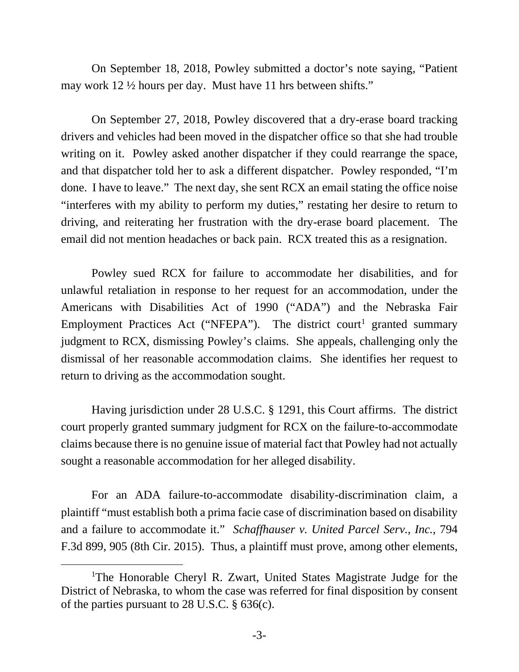On September 18, 2018, Powley submitted a doctor's note saying, "Patient may work 12 ½ hours per day. Must have 11 hrs between shifts."

On September 27, 2018, Powley discovered that a dry-erase board tracking drivers and vehicles had been moved in the dispatcher office so that she had trouble writing on it. Powley asked another dispatcher if they could rearrange the space, and that dispatcher told her to ask a different dispatcher. Powley responded, "I'm done. I have to leave." The next day, she sent RCX an email stating the office noise "interferes with my ability to perform my duties," restating her desire to return to driving, and reiterating her frustration with the dry-erase board placement. The email did not mention headaches or back pain. RCX treated this as a resignation.

Powley sued RCX for failure to accommodate her disabilities, and for unlawful retaliation in response to her request for an accommodation, under the Americans with Disabilities Act of 1990 ("ADA") and the Nebraska Fair Employment Practices Act ("NFEPA"). The district court<sup>[1](#page-2-0)</sup> granted summary judgment to RCX, dismissing Powley's claims. She appeals, challenging only the dismissal of her reasonable accommodation claims. She identifies her request to return to driving as the accommodation sought.

Having jurisdiction under 28 U.S.C. § 1291, this Court affirms. The district court properly granted summary judgment for RCX on the failure-to-accommodate claims because there is no genuine issue of material fact that Powley had not actually sought a reasonable accommodation for her alleged disability.

For an ADA failure-to-accommodate disability-discrimination claim, a plaintiff "must establish both a prima facie case of discrimination based on disability and a failure to accommodate it." *Schaffhauser v. United Parcel Serv., Inc.*, 794 F.3d 899, 905 (8th Cir. 2015). Thus, a plaintiff must prove, among other elements,

<span id="page-2-0"></span><sup>&</sup>lt;sup>1</sup>The Honorable Cheryl R. Zwart, United States Magistrate Judge for the District of Nebraska, to whom the case was referred for final disposition by consent of the parties pursuant to 28 U.S.C. § 636(c).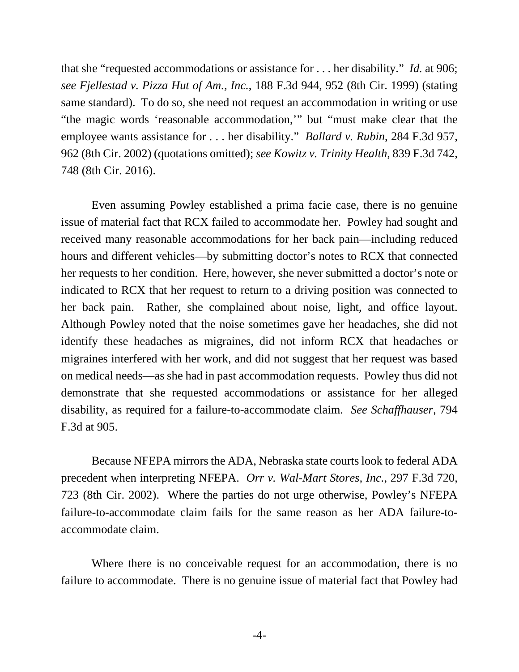that she "requested accommodations or assistance for . . . her disability." *Id.* at 906; *see Fjellestad v. Pizza Hut of Am., Inc.*, 188 F.3d 944, 952 (8th Cir. 1999) (stating same standard). To do so, she need not request an accommodation in writing or use "the magic words 'reasonable accommodation,'" but "must make clear that the employee wants assistance for . . . her disability." *Ballard v. Rubin*, 284 F.3d 957, 962 (8th Cir. 2002) (quotations omitted); *see Kowitz v. Trinity Health*, 839 F.3d 742, 748 (8th Cir. 2016).

Even assuming Powley established a prima facie case, there is no genuine issue of material fact that RCX failed to accommodate her. Powley had sought and received many reasonable accommodations for her back pain—including reduced hours and different vehicles—by submitting doctor's notes to RCX that connected her requests to her condition. Here, however, she never submitted a doctor's note or indicated to RCX that her request to return to a driving position was connected to her back pain. Rather, she complained about noise, light, and office layout. Although Powley noted that the noise sometimes gave her headaches, she did not identify these headaches as migraines, did not inform RCX that headaches or migraines interfered with her work, and did not suggest that her request was based on medical needs—as she had in past accommodation requests. Powley thus did not demonstrate that she requested accommodations or assistance for her alleged disability, as required for a failure-to-accommodate claim. *See Schaffhauser*, 794 F.3d at 905.

Because NFEPA mirrors the ADA, Nebraska state courts look to federal ADA precedent when interpreting NFEPA. *Orr v. Wal-Mart Stores, Inc.*, 297 F.3d 720, 723 (8th Cir. 2002). Where the parties do not urge otherwise, Powley's NFEPA failure-to-accommodate claim fails for the same reason as her ADA failure-toaccommodate claim.

Where there is no conceivable request for an accommodation, there is no failure to accommodate. There is no genuine issue of material fact that Powley had